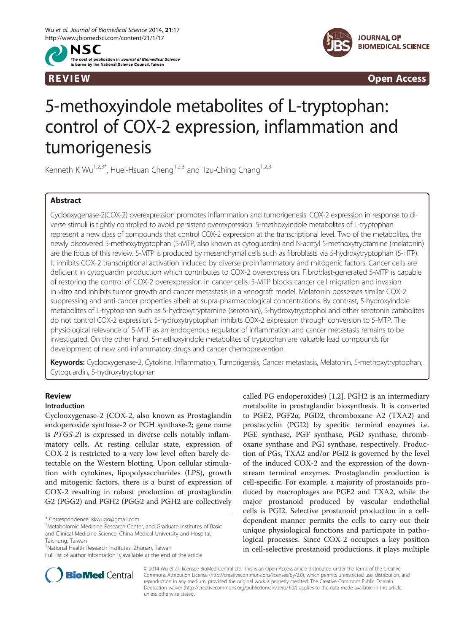



R EVI EW OPEN ACCESS OF THE EW OPEN ACCESS OF THE EWO ACCESS OF THE EWO ACCESS OF THE EWO ACCESS OF THE EXTENS

# 5-methoxyindole metabolites of L-tryptophan: control of COX-2 expression, inflammation and tumorigenesis

Kenneth K Wu<sup>1,2,3\*</sup>, Huei-Hsuan Cheng<sup>1,2,3</sup> and Tzu-Ching Chang<sup>1,2,3</sup>

# **Abstract**

Cyclooxygenase-2(COX-2) overexpression promotes inflammation and tumorigenesis. COX-2 expression in response to diverse stimuli is tightly controlled to avoid persistent overexpression. 5-methoxyindole metabolites of L-tryptophan represent a new class of compounds that control COX-2 expression at the transcriptional level. Two of the metabolites, the newly discovered 5-methoxytryptophan (5-MTP, also known as cytoguardin) and N-acetyl 5-methoxytryptamine (melatonin) are the focus of this review. 5-MTP is produced by mesenchymal cells such as fibroblasts via 5-hydroxytryptophan (5-HTP). It inhibits COX-2 transcriptional activation induced by diverse proinflammatory and mitogenic factors. Cancer cells are deficient in cytoguardin production which contributes to COX-2 overexpression. Fibroblast-generated 5-MTP is capable of restoring the control of COX-2 overexpression in cancer cells. 5-MTP blocks cancer cell migration and invasion in vitro and inhibits tumor growth and cancer metastasis in a xenograft model. Melatonin possesses similar COX-2 suppressing and anti-cancer properties albeit at supra-pharmacological concentrations. By contrast, 5-hydroxyindole metabolites of L-tryptophan such as 5-hydroxytryptamine (serotonin), 5-hydroxytryptophol and other serotonin catabolites do not control COX-2 expression. 5-hydroxytryptophan inhibits COX-2 expression through conversion to 5-MTP. The physiological relevance of 5-MTP as an endogenous regulator of inflammation and cancer metastasis remains to be investigated. On the other hand, 5-methoxyindole metabolites of tryptophan are valuable lead compounds for development of new anti-inflammatory drugs and cancer chemoprevention.

Keywords: Cyclooxygenase-2, Cytokine, Inflammation, Tumorigensis, Cancer metastasis, Melatonin, 5-methoxytryptophan, Cytoguardin, 5-hydroxytryptophan

# **Review**

# Introduction

Cyclooxygenase-2 (COX-2, also known as Prostaglandin endoperoxide synthase-2 or PGH synthase-2; gene name is PTGS-2) is expressed in diverse cells notably inflammatory cells. At resting cellular state, expression of COX-2 is restricted to a very low level often barely detectable on the Western blotting. Upon cellular stimulation with cytokines, lipopolysaccharides (LPS), growth and mitogenic factors, there is a burst of expression of COX-2 resulting in robust production of prostaglandin G2 (PGG2) and PGH2 (PGG2 and PGH2 are collectively

2 National Health Research Institutes, Zhunan, Taiwan

called PG endoperoxides) [[1,2\]](#page-6-0). PGH2 is an intermediary metabolite in prostaglandin biosynthesis. It is converted to PGE2, PGF2α, PGD2, thromboxane A2 (TXA2) and prostacyclin (PGI2) by specific terminal enzymes i.e. PGE synthase, PGF synthase, PGD synthase, thromboxane synthase and PGI synthase, respectively. Production of PGs, TXA2 and/or PGI2 is governed by the level of the induced COX-2 and the expression of the downstream terminal enzymes. Prostaglandin production is cell-specific. For example, a majority of prostanoids produced by macrophages are PGE2 and TXA2, while the major prostanoid produced by vascular endothelial cells is PGI2. Selective prostanoid production in a celldependent manner permits the cells to carry out their unique physiological functions and participate in pathological processes. Since COX-2 occupies a key position in cell-selective prostanoid productions, it plays multiple



© 2014 Wu et al.; licensee BioMed Central Ltd. This is an Open Access article distributed under the terms of the Creative Commons Attribution License [\(http://creativecommons.org/licenses/by/2.0\)](http://creativecommons.org/licenses/by/2.0), which permits unrestricted use, distribution, and reproduction in any medium, provided the original work is properly credited. The Creative Commons Public Domain Dedication waiver [\(http://creativecommons.org/publicdomain/zero/1.0/](http://creativecommons.org/publicdomain/zero/1.0/)) applies to the data made available in this article, unless otherwise stated.

<sup>\*</sup> Correspondence: [kkwugo@gmail.com](mailto:kkwugo@gmail.com) <sup>1</sup>

<sup>&</sup>lt;sup>1</sup>Metabolomic Medicine Research Center, and Graduate Institutes of Basic and Clinical Medicine Science, China Medical University and Hospital, Taichung, Taiwan

Full list of author information is available at the end of the article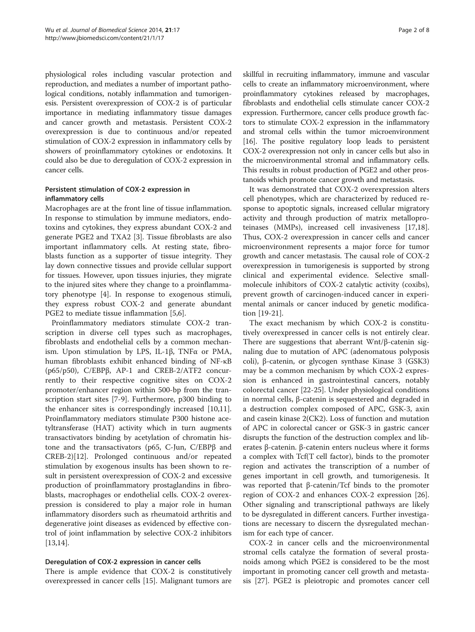physiological roles including vascular protection and reproduction, and mediates a number of important pathological conditions, notably inflammation and tumorigenesis. Persistent overexpression of COX-2 is of particular importance in mediating inflammatory tissue damages and cancer growth and metastasis. Persistent COX-2 overexpression is due to continuous and/or repeated stimulation of COX-2 expression in inflammatory cells by showers of proinflammatory cytokines or endotoxins. It could also be due to deregulation of COX-2 expression in cancer cells.

# Persistent stimulation of COX-2 expression in inflammatory cells

Macrophages are at the front line of tissue inflammation. In response to stimulation by immune mediators, endotoxins and cytokines, they express abundant COX-2 and generate PGE2 and TXA2 [[3](#page-6-0)]. Tissue fibroblasts are also important inflammatory cells. At resting state, fibroblasts function as a supporter of tissue integrity. They lay down connective tissues and provide cellular support for tissues. However, upon tissues injuries, they migrate to the injured sites where they change to a proinflammatory phenotype [[4\]](#page-6-0). In response to exogenous stimuli, they express robust COX-2 and generate abundant PGE2 to mediate tissue inflammation [\[5,6](#page-6-0)].

Proinflammatory mediators stimulate COX-2 transcription in diverse cell types such as macrophages, fibroblasts and endothelial cells by a common mechanism. Upon stimulation by LPS, IL-1β, TNFα or PMA, human fibroblasts exhibit enhanced binding of NF-κB (p65/p50), C/EBPβ, AP-1 and CREB-2/ATF2 concurrently to their respective cognitive sites on COX-2 promoter/enhancer region within 500-bp from the transcription start sites [\[7](#page-6-0)-[9\]](#page-6-0). Furthermore, p300 binding to the enhancer sites is correspondingly increased [\[10,11](#page-6-0)]. Proinflammatory mediators stimulate P300 histone acetyltransferase (HAT) activity which in turn augments transactivators binding by acetylation of chromatin histone and the transactivators (p65, C-Jun, C/EBPβ and CREB-2)[[12](#page-6-0)]. Prolonged continuous and/or repeated stimulation by exogenous insults has been shown to result in persistent overexpression of COX-2 and excessive production of proinflammatory prostaglandins in fibroblasts, macrophages or endothelial cells. COX-2 overexpression is considered to play a major role in human inflammatory disorders such as rheumatoid arthritis and degenerative joint diseases as evidenced by effective control of joint inflammation by selective COX-2 inhibitors [[13,14\]](#page-6-0).

# Deregulation of COX-2 expression in cancer cells

There is ample evidence that COX-2 is constitutively overexpressed in cancer cells [\[15](#page-7-0)]. Malignant tumors are skillful in recruiting inflammatory, immune and vascular cells to create an inflammatory microenvironment, where proinflammatory cytokines released by macrophages, fibroblasts and endothelial cells stimulate cancer COX-2 expression. Furthermore, cancer cells produce growth factors to stimulate COX-2 expression in the inflammatory and stromal cells within the tumor microenvironment [[16](#page-7-0)]. The positive regulatory loop leads to persistent COX-2 overexpression not only in cancer cells but also in the microenvironmental stromal and inflammatory cells. This results in robust production of PGE2 and other prostanoids which promote cancer growth and metastasis.

It was demonstrated that COX-2 overexpression alters cell phenotypes, which are characterized by reduced response to apoptotic signals, increased cellular migratory activity and through production of matrix metalloproteinases (MMPs), increased cell invasiveness [\[17,18](#page-7-0)]. Thus, COX-2 overexpression in cancer cells and cancer microenvironment represents a major force for tumor growth and cancer metastasis. The causal role of COX-2 overexpression in tumorigenesis is supported by strong clinical and experimental evidence. Selective smallmolecule inhibitors of COX-2 catalytic activity (coxibs), prevent growth of carcinogen-induced cancer in experimental animals or cancer induced by genetic modification [\[19-21](#page-7-0)].

The exact mechanism by which COX-2 is constitutively overexpressed in cancer cells is not entirely clear. There are suggestions that aberrant Wnt/β-catenin signaling due to mutation of APC (adenomatous polyposis coli), β-catenin, or glycogen synthase Kinase 3 (GSK3) may be a common mechanism by which COX-2 expression is enhanced in gastrointestinal cancers, notably colorectal cancer [\[22-25](#page-7-0)]. Under physiological conditions in normal cells, β-catenin is sequestered and degraded in a destruction complex composed of APC, GSK-3, axin and casein kinase 2(CK2). Loss of function and mutation of APC in colorectal cancer or GSK-3 in gastric cancer disrupts the function of the destruction complex and liberates β-catenin. β-catenin enters nucleus where it forms a complex with Tcf(T cell factor), binds to the promoter region and activates the transcription of a number of genes important in cell growth, and tumorigenesis. It was reported that β-catenin/Tcf binds to the promoter region of COX-2 and enhances COX-2 expression [\[26](#page-7-0)]. Other signaling and transcriptional pathways are likely to be dysregulated in different cancers. Further investigations are necessary to discern the dysregulated mechanism for each type of cancer.

COX-2 in cancer cells and the microenvironmental stromal cells catalyze the formation of several prostanoids among which PGE2 is considered to be the most important in promoting cancer cell growth and metastasis [[27\]](#page-7-0). PGE2 is pleiotropic and promotes cancer cell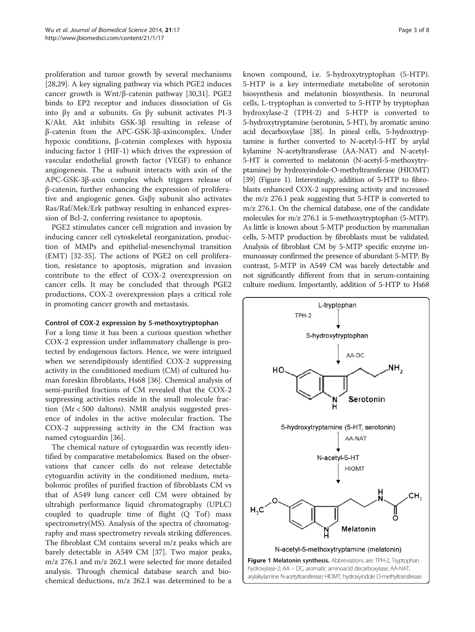proliferation and tumor growth by several mechanisms [[28,29\]](#page-7-0). A key signaling pathway via which PGE2 induces cancer growth is Wnt/β-catenin pathway [\[30,31\]](#page-7-0). PGE2 binds to EP2 receptor and induces dissociation of Gs into βγ and α subunits. Gs βγ subunit activates PI-3 K/Akt. Akt inhibits GSK-3β resulting in release of β-catenin from the APC-GSK-3β-axincomplex. Under hypoxic conditions, β-catenin complexes with hypoxia inducing factor 1 (HIF-1) which drives the expression of vascular endothelial growth factor (VEGF) to enhance angiogenesis. The  $\alpha$  subunit interacts with axin of the APC-GSK-3β-axin complex which triggers release of β-catenin, further enhancing the expression of proliferative and angiogenic genes. Gsβγ subunit also activates Ras/Raf/Mek/Erk pathway resulting in enhanced expression of Bcl-2, conferring resistance to apoptosis.

PGE2 stimulates cancer cell migration and invasion by inducing cancer cell cytoskeletal reorganization, production of MMPs and epithelial-mesenchymal transition (EMT) [\[32-35](#page-7-0)]. The actions of PGE2 on cell proliferation, resistance to apoptosis, migration and invasion contribute to the effect of COX-2 overexpression on cancer cells. It may be concluded that through PGE2 productions, COX-2 overexpression plays a critical role in promoting cancer growth and metastasis.

# Control of COX-2 expression by 5-methoxytryptophan

For a long time it has been a curious question whether COX-2 expression under inflammatory challenge is protected by endogenous factors. Hence, we were intrigued when we serendipitously identified COX-2 suppressing activity in the conditioned medium (CM) of cultured human foreskin fibroblasts, Hs68 [[36](#page-7-0)]. Chemical analysis of semi-purified fractions of CM revealed that the COX-2 suppressing activities reside in the small molecule fraction (Mr < 500 daltons). NMR analysis suggested presence of indoles in the active molecular fraction. The COX-2 suppressing activity in the CM fraction was named cytoguardin [[36\]](#page-7-0).

The chemical nature of cytoguardin was recently identified by comparative metabolomics. Based on the observations that cancer cells do not release detectable cytoguardin activity in the conditioned medium, metabolomic profiles of purified fraction of fibroblasts CM vs that of A549 lung cancer cell CM were obtained by ultrahigh performance liquid chromatography (UPLC) coupled to quadruple time of flight  $(Q$  Tof) mass spectrometry(MS). Analysis of the spectra of chromatography and mass spectrometry reveals striking differences. The fibroblast CM contains several m/z peaks which are barely detectable in A549 CM [\[37\]](#page-7-0). Two major peaks, m/z 276.1 and m/z 262.1 were selected for more detailed analysis. Through chemical database search and biochemical deductions, m/z 262.1 was determined to be a

known compound, i.e. 5-hydroxytryptophan (5-HTP). 5-HTP is a key intermediate metabolite of serotonin biosynthesis and melatonin biosynthesis. In neuronal cells, L-tryptophan is converted to 5-HTP by tryptophan hydroxylase-2 (TPH-2) and 5-HTP is converted to 5-hydroxytryptamine (serotonin, 5-HT), by aromatic amino acid decarboxylase [[38\]](#page-7-0). In pineal cells, 5-hydroxtryptamine is further converted to N-acetyl-5-HT by arylal kylamine N-acetyltransferase (AA-NAT) and N-acetyl-5-HT is converted to melatonin (N-acetyl-5-methoxytryptamine) by hydroxyindole-O-methyltransferase (HIOMT) [[39](#page-7-0)] (Figure 1). Interestingly, addition of 5-HTP to fibroblasts enhanced COX-2 suppressing activity and increased the m/z 276.1 peak suggesting that 5-HTP is converted to m/z 276.1. On the chemical database, one of the candidate molecules for m/z 276.1 is 5-methoxytryptophan (5-MTP). As little is known about 5-MTP production by mammalian cells, 5-MTP production by fibroblasts must be validated. Analysis of fibroblast CM by 5-MTP specific enzyme immunoassay confirmed the presence of abundant 5-MTP. By contrast, 5-MTP in A549 CM was barely detectable and not significantly different from that in serum-containing culture medium. Importantly, addition of 5-HTP to Hs68

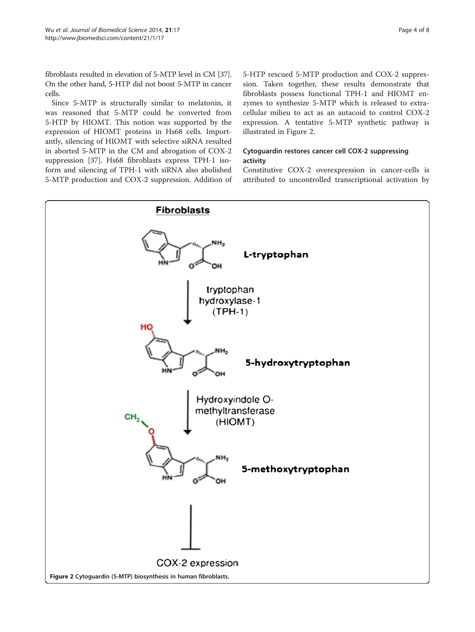fibroblasts resulted in elevation of 5-MTP level in CM [\[37](#page-7-0)]. On the other hand, 5-HTP did not boost 5-MTP in cancer cells.

Since 5-MTP is structurally similar to melatonin, it was reasoned that 5-MTP could be converted from 5-HTP by HIOMT. This notion was supported by the expression of HIOMT proteins in Hs68 cells. Importantly, silencing of HIOMT with selective siRNA resulted in aborted 5-MTP in the CM and abrogation of COX-2 suppression [\[37](#page-7-0)]. Hs68 fibroblasts express TPH-1 isoform and silencing of TPH-1 with siRNA also abolished 5-MTP production and COX-2 suppression. Addition of 5-HTP rescued 5-MTP production and COX-2 suppression. Taken together, these results demonstrate that fibroblasts possess functional TPH-1 and HIOMT enzymes to synthesize 5-MTP which is released to extracellular milieu to act as an autacoid to control COX-2 expression. A tentative 5-MTP synthetic pathway is illustrated in Figure 2.

# Cytoguardin restores cancer cell COX-2 suppressing activity

Constitutive COX-2 overexpression in cancer-cells is attributed to uncontrolled transcriptional activation by

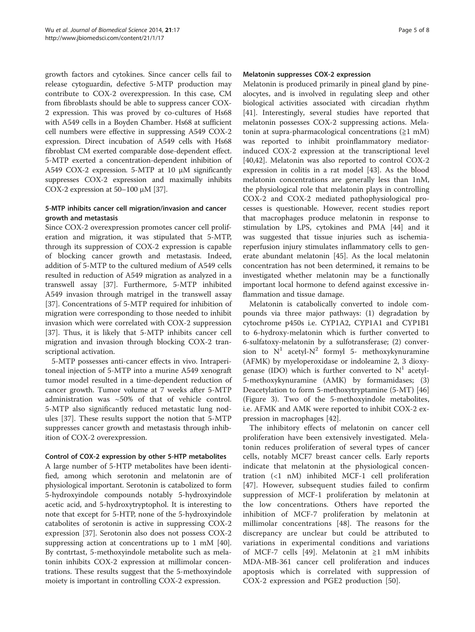growth factors and cytokines. Since cancer cells fail to release cytoguardin, defective 5-MTP production may contribute to COX-2 overexpression. In this case, CM from fibroblasts should be able to suppress cancer COX-2 expression. This was proved by co-cultures of Hs68 with A549 cells in a Boyden Chamber. Hs68 at sufficient cell numbers were effective in suppressing A549 COX-2 expression. Direct incubation of A549 cells with Hs68 fibroblast CM exerted comparable dose-dependent effect. 5-MTP exerted a concentration-dependent inhibition of A549 COX-2 expression. 5-MTP at 10 μM significantly suppresses COX-2 expression and maximally inhibits COX-2 expression at 50–100 μM [\[37\]](#page-7-0).

# 5-MTP inhibits cancer cell migration/invasion and cancer growth and metastasis

Since COX-2 overexpression promotes cancer cell proliferation and migration, it was stipulated that 5-MTP, through its suppression of COX-2 expression is capable of blocking cancer growth and metastasis. Indeed, addition of 5-MTP to the cultured medium of A549 cells resulted in reduction of A549 migration as analyzed in a transwell assay [[37](#page-7-0)]. Furthermore, 5-MTP inhibited A549 invasion through matrigel in the transwell assay [[37\]](#page-7-0). Concentrations of 5-MTP required for inhibition of migration were corresponding to those needed to inhibit invasion which were correlated with COX-2 suppression [[37\]](#page-7-0). Thus, it is likely that 5-MTP inhibits cancer cell migration and invasion through blocking COX-2 transcriptional activation.

5-MTP possesses anti-cancer effects in vivo. Intraperitoneal injection of 5-MTP into a murine A549 xenograft tumor model resulted in a time-dependent reduction of cancer growth. Tumor volume at 7 weeks after 5-MTP administration was ~50% of that of vehicle control. 5-MTP also significantly reduced metastatic lung nodules [[37\]](#page-7-0). These results support the notion that 5-MTP suppresses cancer growth and metastasis through inhibition of COX-2 overexpression.

# Control of COX-2 expression by other 5-HTP metabolites

A large number of 5-HTP metabolites have been identified, among which serotonin and melatonin are of physiological important. Serotonin is catabolized to form 5-hydroxyindole compounds notably 5-hydroxyindole acetic acid, and 5-hydroxytryptophol. It is interesting to note that except for 5-HTP, none of the 5-hydroxyindole catabolites of serotonin is active in suppressing COX-2 expression [[37](#page-7-0)]. Serotonin also does not possess COX-2 suppressing action at concentrations up to 1 mM [\[40](#page-7-0)]. By contrtast, 5-methoxyindole metabolite such as melatonin inhibits COX-2 expression at millimolar concentrations. These results suggest that the 5-methoxyindole moiety is important in controlling COX-2 expression.

# Melatonin suppresses COX-2 expression

Melatonin is produced primarily in pineal gland by pinealocytes, and is involved in regulating sleep and other biological activities associated with circadian rhythm [[41\]](#page-7-0). Interestingly, several studies have reported that melatonin possesses COX-2 suppressing actions. Melatonin at supra-pharmacological concentrations ( $\geq 1$  mM) was reported to inhibit proinflammatory mediatorinduced COX-2 expression at the transcriptional level [[40,42\]](#page-7-0). Melatonin was also reported to control COX-2 expression in colitis in a rat model [\[43](#page-7-0)]. As the blood melatonin concentrations are generally less than 1nM, the physiological role that melatonin plays in controlling COX-2 and COX-2 mediated pathophysiological processes is questionable. However, recent studies report that macrophages produce melatonin in response to stimulation by LPS, cytokines and PMA [[44\]](#page-7-0) and it was suggested that tissue injuries such as ischemiareperfusion injury stimulates inflammatory cells to generate abundant melatonin [\[45](#page-7-0)]. As the local melatonin concentration has not been determined, it remains to be investigated whether melatonin may be a functionally important local hormone to defend against excessive inflammation and tissue damage.

Melatonin is catabolically converted to indole compounds via three major pathways: (1) degradation by cytochrome p450s i.e. CYP1A2, CYP1A1 and CYP1B1 to 6-hydroxy-melatonin which is further converted to 6-sulfatoxy-melatonin by a sulfotransferase; (2) conversion to  $N^1$  acetyl- $N^2$  formyl 5- methoxykynuramine (AFMK) by myeloperoxidase or indoleamine 2, 3 dioxygenase (IDO) which is further converted to  $N^1$  acetyl-5-methoxykynuramine (AMK) by formamidases; (3) Deacetylation to form 5-methoxytryptamine (5-MT) [[46](#page-7-0)] (Figure [3\)](#page-5-0). Two of the 5-methoxyindole metabolites, i.e. AFMK and AMK were reported to inhibit COX-2 expression in macrophages [\[42](#page-7-0)].

The inhibitory effects of melatonin on cancer cell proliferation have been extensively investigated. Melatonin reduces proliferation of several types of cancer cells, notably MCF7 breast cancer cells. Early reports indicate that melatonin at the physiological concentration (<1 nM) inhibited MCF-1 cell proliferation [[47\]](#page-7-0). However, subsequent studies failed to confirm suppression of MCF-1 proliferation by melatonin at the low concentrations. Others have reported the inhibition of MCF-7 proliferation by melatonin at millimolar concentrations [\[48\]](#page-7-0). The reasons for the discrepancy are unclear but could be attributed to variations in experimental conditions and variations of MCF-7 cells [\[49](#page-7-0)]. Melatonin at ≥1 mM inhibits MDA-MB-361 cancer cell proliferation and induces apoptosis which is correlated with suppression of COX-2 expression and PGE2 production [[50\]](#page-7-0).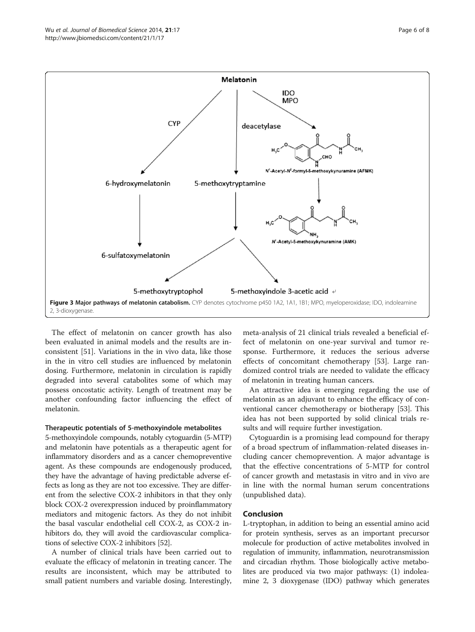<span id="page-5-0"></span>

The effect of melatonin on cancer growth has also been evaluated in animal models and the results are inconsistent [[51](#page-7-0)]. Variations in the in vivo data, like those in the in vitro cell studies are influenced by melatonin dosing. Furthermore, melatonin in circulation is rapidly degraded into several catabolites some of which may possess oncostatic activity. Length of treatment may be another confounding factor influencing the effect of melatonin.

# Therapeutic potentials of 5-methoxyindole metabolites

5-methoxyindole compounds, notably cytoguardin (5-MTP) and melatonin have potentials as a therapeutic agent for inflammatory disorders and as a cancer chemopreventive agent. As these compounds are endogenously produced, they have the advantage of having predictable adverse effects as long as they are not too excessive. They are different from the selective COX-2 inhibitors in that they only block COX-2 overexpression induced by proinflammatory mediators and mitogenic factors. As they do not inhibit the basal vascular endothelial cell COX-2, as COX-2 inhibitors do, they will avoid the cardiovascular complications of selective COX-2 inhibitors [[52](#page-7-0)].

A number of clinical trials have been carried out to evaluate the efficacy of melatonin in treating cancer. The results are inconsistent, which may be attributed to small patient numbers and variable dosing. Interestingly,

meta-analysis of 21 clinical trials revealed a beneficial effect of melatonin on one-year survival and tumor response. Furthermore, it reduces the serious adverse effects of concomitant chemotherapy [[53\]](#page-7-0). Large randomized control trials are needed to validate the efficacy of melatonin in treating human cancers.

An attractive idea is emerging regarding the use of melatonin as an adjuvant to enhance the efficacy of conventional cancer chemotherapy or biotherapy [[53](#page-7-0)]. This idea has not been supported by solid clinical trials results and will require further investigation.

Cytoguardin is a promising lead compound for therapy of a broad spectrum of inflammation-related diseases including cancer chemoprevention. A major advantage is that the effective concentrations of 5-MTP for control of cancer growth and metastasis in vitro and in vivo are in line with the normal human serum concentrations (unpublished data).

L-tryptophan, in addition to being an essential amino acid for protein synthesis, serves as an important precursor molecule for production of active metabolites involved in regulation of immunity, inflammation, neurotransmission and circadian rhythm. Those biologically active metabolites are produced via two major pathways: (1) indoleamine 2, 3 dioxygenase (IDO) pathway which generates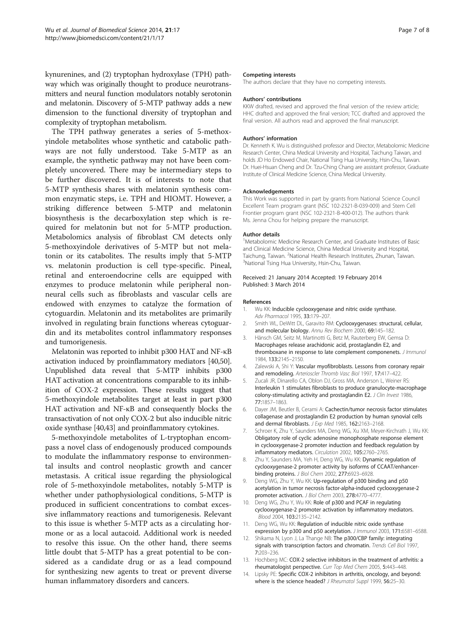<span id="page-6-0"></span>kynurenines, and (2) tryptophan hydroxylase (TPH) pathway which was originally thought to produce neurotransmitters and neural function modulators notably serotonin and melatonin. Discovery of 5-MTP pathway adds a new dimension to the functional diversity of tryptophan and complexity of tryptophan metabolism.

The TPH pathway generates a series of 5-methoxyindole metabolites whose synthetic and catabolic pathways are not fully understood. Take 5-MTP as an example, the synthetic pathway may not have been completely uncovered. There may be intermediary steps to be further discovered. It is of interests to note that 5-MTP synthesis shares with melatonin synthesis common enzymatic steps, i.e. TPH and HIOMT. However, a striking difference between 5-MTP and melatonin biosynthesis is the decarboxylation step which is required for melatonin but not for 5-MTP production. Metabolomics analysis of fibroblast CM detects only 5-methoxyindole derivatives of 5-MTP but not melatonin or its catabolites. The results imply that 5-MTP vs. melatonin production is cell type-specific. Pineal, retinal and enteroendocrine cells are equipped with enzymes to produce melatonin while peripheral nonneural cells such as fibroblasts and vascular cells are endowed with enzymes to catalyze the formation of cytoguardin. Melatonin and its metabolites are primarily involved in regulating brain functions whereas cytoguardin and its metabolites control inflammatory responses and tumorigenesis.

Melatonin was reported to inhibit p300 HAT and NF-κB activation induced by proinflammatory mediators [\[40,50](#page-7-0)]. Unpublished data reveal that 5-MTP inhibits p300 HAT activation at concentrations comparable to its inhibition of COX-2 expression. These results suggest that 5-methoxyindole metabolites target at least in part p300 HAT activation and NF-κB and consequently blocks the transactivation of not only COX-2 but also inducible nitric oxide synthase [[40,43\]](#page-7-0) and proinflammatory cytokines.

5-methoxyindole metabolites of L-tryptophan encompass a novel class of endogenously produced compounds to modulate the inflammatory response to environmental insults and control neoplastic growth and cancer metastasis. A critical issue regarding the physiological role of 5-methoxyindole metabolites, notably 5-MTP is whether under pathophysiological conditions, 5-MTP is produced in sufficient concentrations to combat excessive inflammatory reactions and tumorigenesis. Relevant to this issue is whether 5-MTP acts as a circulating hormone or as a local autacoid. Additional work is needed to resolve this issue. On the other hand, there seems little doubt that 5-MTP has a great potential to be considered as a candidate drug or as a lead compound for synthesizing new agents to treat or prevent diverse human inflammatory disorders and cancers.

### Competing interests

The authors declare that they have no competing interests.

### Authors' contributions

KKW drafted, revised and approved the final version of the review article; HHC drafted and approved the final version; TCC drafted and approved the final version. All authors read and approved the final manuscript.

### Authors' information

Dr. Kenneth K. Wu is distinguished professor and Director, Metabolomic Medicine Research Center, China Medical University and Hospital, Taichung Taiwan, and holds JD Ho Endowed Chair, National Tsing Hua University, Hsin-Chu, Taiwan. Dr. Huei-Hsuan Cheng and Dr. Tzu-Ching Chang are assistant professor, Graduate Institute of Clinical Medicine Science, China Medical University.

### Acknowledgements

This Work was supported in part by grants from National Science Council Excellent Team program grant (NSC 102-2321-B-039-009) and Stem Cell Frontier program grant (NSC 102-2321-B-400-012). The authors thank Ms. Jenna Chou for helping prepare the manuscript.

### Author details

<sup>1</sup>Metabolomic Medicine Research Center, and Graduate Institutes of Basic and Clinical Medicine Science, China Medical University and Hospital, Taichung, Taiwan. <sup>2</sup>National Health Research Institutes, Zhunan, Taiwan.<br><sup>3</sup>National Tsing Hua University, Hsin-Chu, Taiwan. <sup>3</sup>National Tsing Hua University, Hsin-Chu, Taiwan.

### Received: 21 January 2014 Accepted: 19 February 2014 Published: 3 March 2014

### References

- 1. Wu KK: Inducible cyclooxygenase and nitric oxide synthase. Adv Pharmacol 1995, 33:179–207.
- 2. Smith WL, DeWitt DL, Garavito RM: Cyclooxygenases: structural, cellular, and molecular biology. Annu Rev Biochem 2000, 69:145–182.
- 3. Hänsch GM, Seitz M, Martinotti G, Betz M, Rauterberg EW, Gemsa D: Macrophages release arachidonic acid, prostaglandin E2, and thromboxane in response to late complement componenets. *J Immunol* 1984, 133:2145–2150.
- 4. Zalewski A, Shi Y: Vascular myofibroblasts. Lessons from coronary repair and remodeling. Arterioscler Thromb Vasc Biol 1997, 17:417–422.
- 5. Zucali JR, Dinarello CA, Oblon DJ, Gross MA, Anderson L, Weiner RS: Interleukin 1 stimulates fibroblasts to produce granulocyte-macrophage colony-stimulating activity and prostaglandin E2. J Clin Invest 1986, 77:1857–1863.
- 6. Dayer JM, Beutler B, Cerami A: Cachectin/tumor necrosis factor stimulates collagenase and prostaglandin E2 production by human synovial cells and dermal fibroblasts. J Exp Med 1985, 162:2163-2168.
- 7. Schroer K, Zhu Y, Saunders MA, Deng WG, Xu XM, Meyer-Kirchrath J, Wu KK: Obligatory role of cyclic adenosine monophosphate response element in cyclooxygenase-2 promoter induction and feedback regulation by inflammatory mediators. Circulation 2002, 105:2760–2765.
- 8. Zhu Y, Saunders MA, Yeh H, Deng WG, Wu KK: Dynamic regulation of cyclooxygenase-2 promoter activity by isoforms of CCAAT/enhancerbinding proteins. J Biol Chem 2002, 277:6923–6928.
- 9. Deng WG, Zhu Y, Wu KK: Up-regulation of p300 binding and p50 acetylation in tumor necrosis factor-alpha-induced cyclooxygenase-2 promoter activation. J Biol Chem 2003, 278:4770–4777.
- 10. Deng WG, Zhu Y, Wu KK: Role of p300 and PCAF in regulating cyclooxygenase-2 promoter activation by inflammatory mediators. Blood 2004, 103:2135–2142.
- 11. Deng WG, Wu KK: Regulation of inducible nitric oxide synthase expression by p300 and p50 acetylation. J Immunol 2003, 171:6581-6588.
- 12. Shikama N, Lyon J, La Thange NB: The p300/CBP family: integrating signals with transcription factors and chromatin. Trends Cell Biol 1997, 7:203–236.
- 13. Hochberg MC: COX-2 selective inhibitors in the treatment of arthritis: a rheumatologist perspective. Curr Top Med Chem 2005, 5:443–448.
- 14. Lipsky PE: Specific COX-2 inhibitors in arthritis, oncology, and beyond: where is the science headed? J Rheumatol Suppl 1999, 56:25-30.